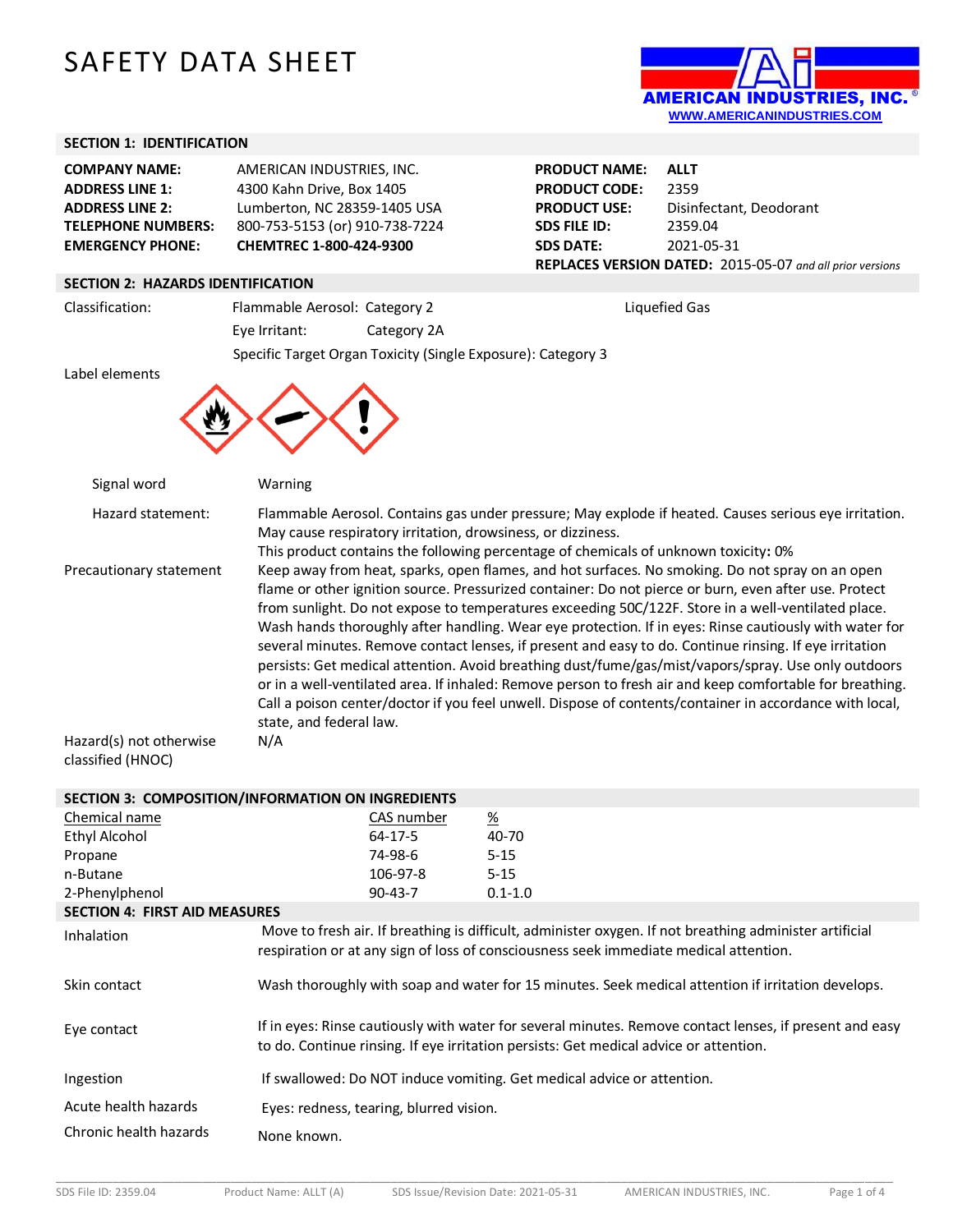# SAFETY DATA SHEET



# **SECTION 1: IDENTIFICATION**

| <b>COMPANY NAME:</b>      | AMERICAN INDUSTRIES, INC.      |
|---------------------------|--------------------------------|
| <b>ADDRESS LINE 1:</b>    | 4300 Kahn Drive, Box 1405      |
| <b>ADDRESS LINE 2:</b>    | Lumberton, NC 28359-1405 USA   |
| <b>TELEPHONE NUMBERS:</b> | 800-753-5153 (or) 910-738-7224 |
| <b>EMERGENCY PHONE:</b>   | CHEMTREC 1-800-424-9300        |

| <b>PRODUCT NAME:</b>                                      | ALLT                    |  |
|-----------------------------------------------------------|-------------------------|--|
| <b>PRODUCT CODE:</b>                                      | 2359                    |  |
| <b>PRODUCT USE:</b>                                       | Disinfectant, Deodorant |  |
| <b>SDS FILE ID:</b>                                       | 2359.04                 |  |
| <b>SDS DATE:</b>                                          | 2021-05-31              |  |
| REPLACES VERSION DATED: 2015-05-07 and all prior versions |                         |  |

# **SECTION 2: HAZARDS IDENTIFICATION**

Classification: Flammable Aerosol: Category 2 Liquefied Gas Eye Irritant: Category 2A Specific Target Organ Toxicity (Single Exposure): Category 3

Label elements



| Signal word             | Warning                                                                                                                                                                                                                                                                                                                                                                                                                                                                                                                                                                                                                                                                                                                                                                                                                                                                                     |
|-------------------------|---------------------------------------------------------------------------------------------------------------------------------------------------------------------------------------------------------------------------------------------------------------------------------------------------------------------------------------------------------------------------------------------------------------------------------------------------------------------------------------------------------------------------------------------------------------------------------------------------------------------------------------------------------------------------------------------------------------------------------------------------------------------------------------------------------------------------------------------------------------------------------------------|
| Hazard statement:       | Flammable Aerosol. Contains gas under pressure; May explode if heated. Causes serious eye irritation.<br>May cause respiratory irritation, drowsiness, or dizziness.                                                                                                                                                                                                                                                                                                                                                                                                                                                                                                                                                                                                                                                                                                                        |
|                         | This product contains the following percentage of chemicals of unknown toxicity: 0%                                                                                                                                                                                                                                                                                                                                                                                                                                                                                                                                                                                                                                                                                                                                                                                                         |
| Precautionary statement | Keep away from heat, sparks, open flames, and hot surfaces. No smoking. Do not spray on an open<br>flame or other ignition source. Pressurized container: Do not pierce or burn, even after use. Protect<br>from sunlight. Do not expose to temperatures exceeding 50C/122F. Store in a well-ventilated place.<br>Wash hands thoroughly after handling. Wear eye protection. If in eyes: Rinse cautiously with water for<br>several minutes. Remove contact lenses, if present and easy to do. Continue rinsing. If eye irritation<br>persists: Get medical attention. Avoid breathing dust/fume/gas/mist/vapors/spray. Use only outdoors<br>or in a well-ventilated area. If inhaled: Remove person to fresh air and keep comfortable for breathing.<br>Call a poison center/doctor if you feel unwell. Dispose of contents/container in accordance with local,<br>state, and federal law. |
| Hazard(s) not otherwise | N/A                                                                                                                                                                                                                                                                                                                                                                                                                                                                                                                                                                                                                                                                                                                                                                                                                                                                                         |

classified (HNOC)

| SECTION 3: COMPOSITION/INFORMATION ON INGREDIENTS |                                                                                                                                                                                                  |               |                                                                                                                                                                                                  |
|---------------------------------------------------|--------------------------------------------------------------------------------------------------------------------------------------------------------------------------------------------------|---------------|--------------------------------------------------------------------------------------------------------------------------------------------------------------------------------------------------|
| Chemical name                                     |                                                                                                                                                                                                  | CAS number    | $\frac{\%}{\%}$                                                                                                                                                                                  |
| Ethyl Alcohol                                     |                                                                                                                                                                                                  | $64 - 17 - 5$ | 40-70                                                                                                                                                                                            |
| Propane                                           |                                                                                                                                                                                                  | 74-98-6       | $5 - 15$                                                                                                                                                                                         |
| n-Butane                                          |                                                                                                                                                                                                  | 106-97-8      | $5 - 15$                                                                                                                                                                                         |
| 2-Phenylphenol                                    |                                                                                                                                                                                                  | $90 - 43 - 7$ | $0.1 - 1.0$                                                                                                                                                                                      |
| <b>SECTION 4: FIRST AID MEASURES</b>              |                                                                                                                                                                                                  |               |                                                                                                                                                                                                  |
| Inhalation                                        |                                                                                                                                                                                                  |               | Move to fresh air. If breathing is difficult, administer oxygen. If not breathing administer artificial<br>respiration or at any sign of loss of consciousness seek immediate medical attention. |
| Skin contact                                      |                                                                                                                                                                                                  |               | Wash thoroughly with soap and water for 15 minutes. Seek medical attention if irritation develops.                                                                                               |
| Eye contact                                       | If in eyes: Rinse cautiously with water for several minutes. Remove contact lenses, if present and easy<br>to do. Continue rinsing. If eye irritation persists: Get medical advice or attention. |               |                                                                                                                                                                                                  |
| Ingestion                                         | If swallowed: Do NOT induce vomiting. Get medical advice or attention.                                                                                                                           |               |                                                                                                                                                                                                  |
| Acute health hazards                              | Eyes: redness, tearing, blurred vision.                                                                                                                                                          |               |                                                                                                                                                                                                  |
| Chronic health hazards                            | None known.                                                                                                                                                                                      |               |                                                                                                                                                                                                  |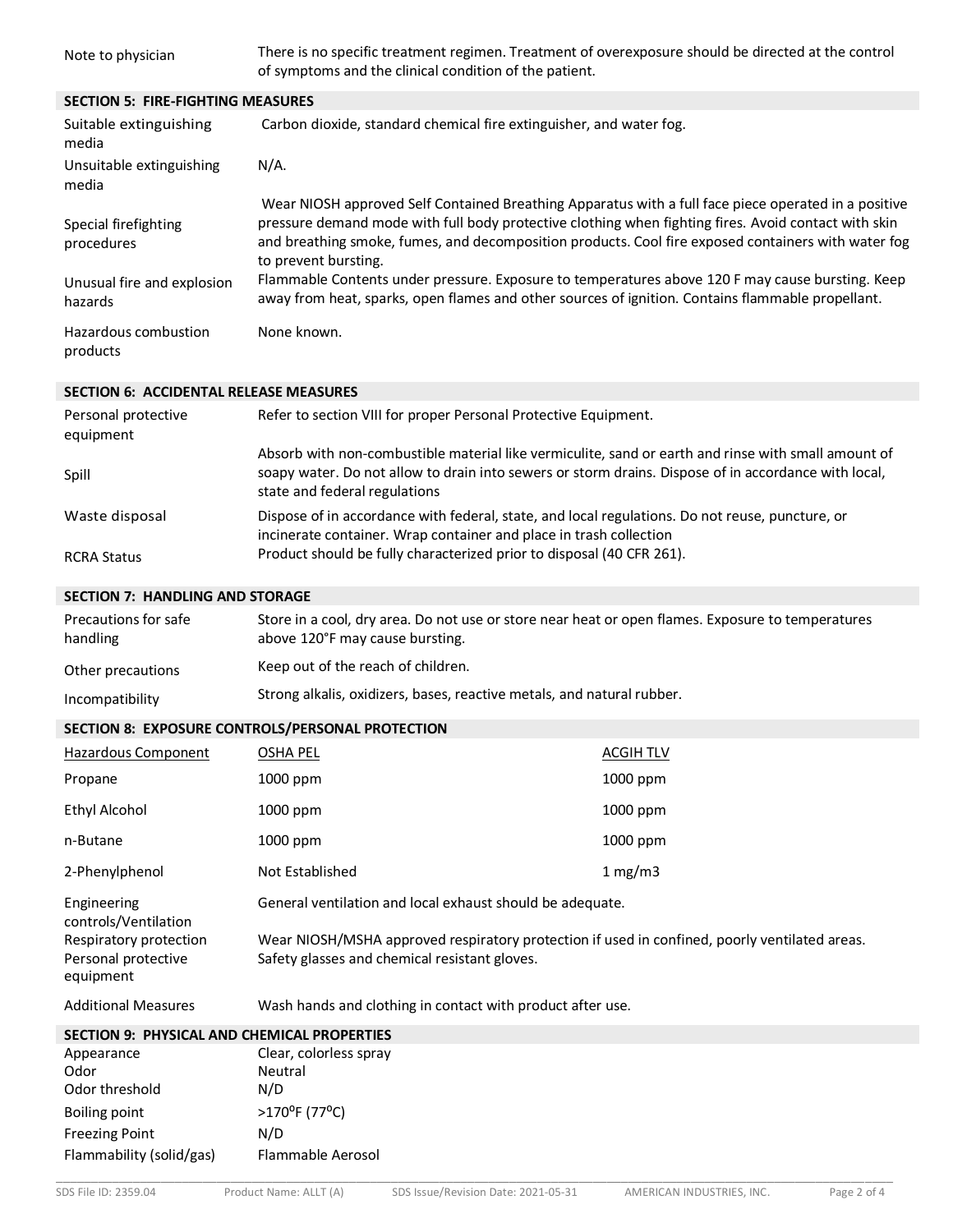Note to physician There is no specific treatment regimen. Treatment of overexposure should be directed at the control of symptoms and the clinical condition of the patient.

| <b>SECTION 5: FIRE-FIGHTING MEASURES</b> |                                                                                                                                                                                                                                                                                                                                             |
|------------------------------------------|---------------------------------------------------------------------------------------------------------------------------------------------------------------------------------------------------------------------------------------------------------------------------------------------------------------------------------------------|
| Suitable extinguishing<br>media          | Carbon dioxide, standard chemical fire extinguisher, and water fog.                                                                                                                                                                                                                                                                         |
| Unsuitable extinguishing<br>media        | $N/A$ .                                                                                                                                                                                                                                                                                                                                     |
| Special firefighting<br>procedures       | Wear NIOSH approved Self Contained Breathing Apparatus with a full face piece operated in a positive<br>pressure demand mode with full body protective clothing when fighting fires. Avoid contact with skin<br>and breathing smoke, fumes, and decomposition products. Cool fire exposed containers with water fog<br>to prevent bursting. |
| Unusual fire and explosion<br>hazards    | Flammable Contents under pressure. Exposure to temperatures above 120 F may cause bursting. Keep<br>away from heat, sparks, open flames and other sources of ignition. Contains flammable propellant.                                                                                                                                       |
| Hazardous combustion<br>products         | None known.                                                                                                                                                                                                                                                                                                                                 |

#### **SECTION 6: ACCIDENTAL RELEASE MEASURES**

| Personal protective<br>equipment     | Refer to section VIII for proper Personal Protective Equipment.                                                                                                                                                                                |
|--------------------------------------|------------------------------------------------------------------------------------------------------------------------------------------------------------------------------------------------------------------------------------------------|
| Spill                                | Absorb with non-combustible material like vermiculite, sand or earth and rinse with small amount of<br>soapy water. Do not allow to drain into sewers or storm drains. Dispose of in accordance with local,<br>state and federal regulations   |
| Waste disposal<br><b>RCRA Status</b> | Dispose of in accordance with federal, state, and local regulations. Do not reuse, puncture, or<br>incinerate container. Wrap container and place in trash collection<br>Product should be fully characterized prior to disposal (40 CFR 261). |

#### **SECTION 7: HANDLING AND STORAGE**

| Precautions for safe<br>handling | Store in a cool, dry area. Do not use or store near heat or open flames. Exposure to temperatures<br>above 120°F may cause bursting. |
|----------------------------------|--------------------------------------------------------------------------------------------------------------------------------------|
| Other precautions                | Keep out of the reach of children.                                                                                                   |
| Incompatibility                  | Strong alkalis, oxidizers, bases, reactive metals, and natural rubber.                                                               |

## **SECTION 8: EXPOSURE CONTROLS/PERSONAL PROTECTION**

| Hazardous Component                                        | OSHA PEL                                                                                                                                       | <b>ACGIH TLV</b> |
|------------------------------------------------------------|------------------------------------------------------------------------------------------------------------------------------------------------|------------------|
| Propane                                                    | $1000$ ppm                                                                                                                                     | 1000 ppm         |
| <b>Ethyl Alcohol</b>                                       | $1000$ ppm                                                                                                                                     | $1000$ ppm       |
| n-Butane                                                   | $1000$ ppm                                                                                                                                     | $1000$ ppm       |
| 2-Phenylphenol                                             | Not Established                                                                                                                                | $1 \text{ mg/m}$ |
| Engineering<br>controls/Ventilation                        | General ventilation and local exhaust should be adequate.                                                                                      |                  |
| Respiratory protection<br>Personal protective<br>equipment | Wear NIOSH/MSHA approved respiratory protection if used in confined, poorly ventilated areas.<br>Safety glasses and chemical resistant gloves. |                  |
| <b>Additional Measures</b>                                 | Wash hands and clothing in contact with product after use.                                                                                     |                  |

#### **SECTION 9: PHYSICAL AND CHEMICAL PROPERTIES**

| Clear, colorless spray |
|------------------------|
| Neutral                |
| N/D                    |
| >170°F (77°C)          |
| N/D                    |
| Flammable Aerosol      |
|                        |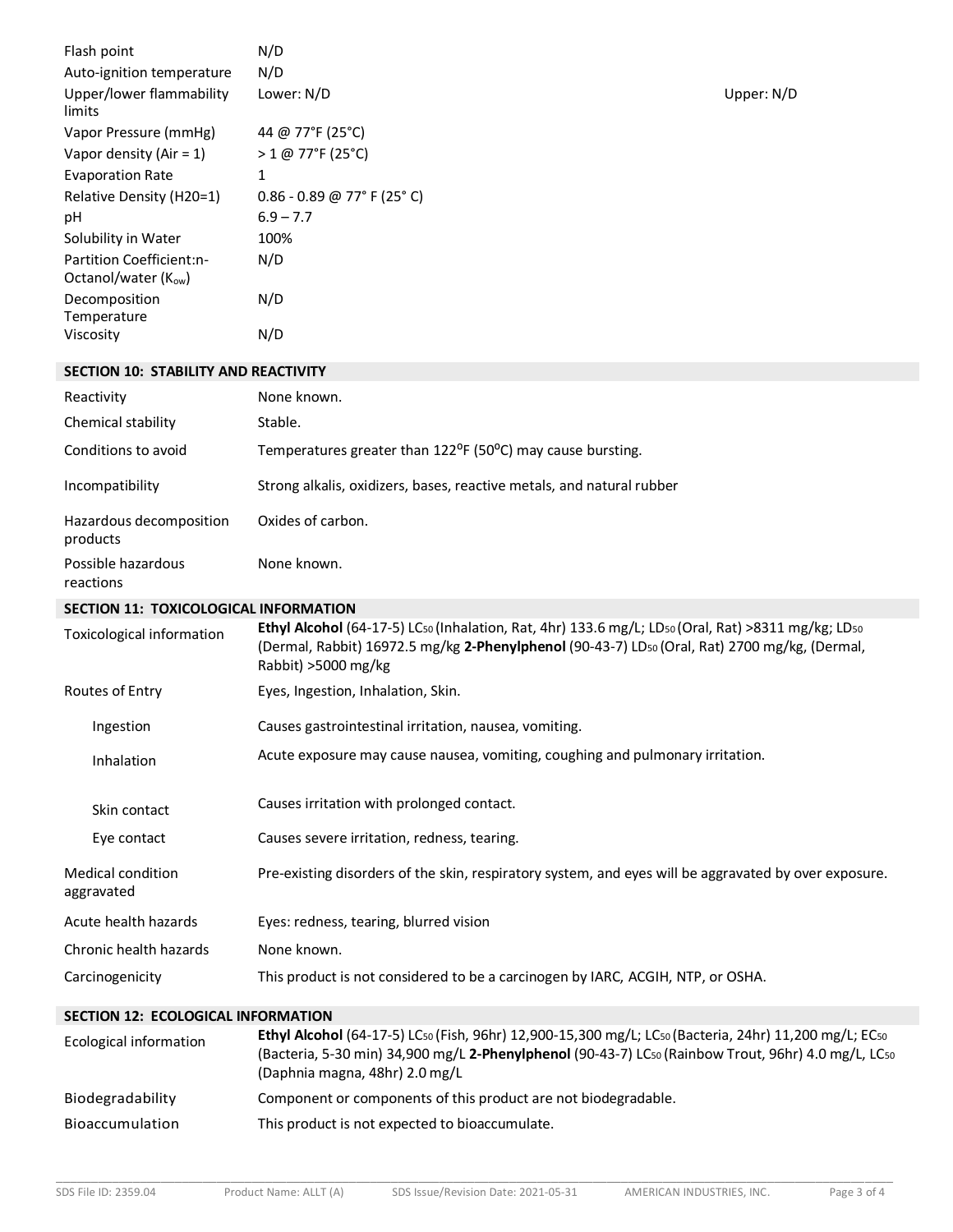| Flash point                            | N/D                                                                                                                                                                                                                                            |            |
|----------------------------------------|------------------------------------------------------------------------------------------------------------------------------------------------------------------------------------------------------------------------------------------------|------------|
| Auto-ignition temperature              | N/D                                                                                                                                                                                                                                            |            |
| Upper/lower flammability<br>limits     | Lower: N/D                                                                                                                                                                                                                                     | Upper: N/D |
| Vapor Pressure (mmHg)                  | 44 @ 77°F (25°C)                                                                                                                                                                                                                               |            |
| Vapor density (Air = $1$ )             | > 1 @ 77°F (25°C)                                                                                                                                                                                                                              |            |
| <b>Evaporation Rate</b>                | 1                                                                                                                                                                                                                                              |            |
| Relative Density (H20=1)               | $0.86 - 0.89$ @ 77° F (25° C)<br>$6.9 - 7.7$                                                                                                                                                                                                   |            |
| pH<br>Solubility in Water              | 100%                                                                                                                                                                                                                                           |            |
| Partition Coefficient:n-               | N/D                                                                                                                                                                                                                                            |            |
| Octanol/water (Kow)                    |                                                                                                                                                                                                                                                |            |
| Decomposition                          | N/D                                                                                                                                                                                                                                            |            |
| Temperature                            |                                                                                                                                                                                                                                                |            |
| Viscosity                              | N/D                                                                                                                                                                                                                                            |            |
| SECTION 10: STABILITY AND REACTIVITY   |                                                                                                                                                                                                                                                |            |
| Reactivity                             | None known.                                                                                                                                                                                                                                    |            |
| Chemical stability                     | Stable.                                                                                                                                                                                                                                        |            |
| Conditions to avoid                    | Temperatures greater than 122°F (50°C) may cause bursting.                                                                                                                                                                                     |            |
| Incompatibility                        | Strong alkalis, oxidizers, bases, reactive metals, and natural rubber                                                                                                                                                                          |            |
| Hazardous decomposition<br>products    | Oxides of carbon.                                                                                                                                                                                                                              |            |
| Possible hazardous<br>reactions        | None known.                                                                                                                                                                                                                                    |            |
| SECTION 11: TOXICOLOGICAL INFORMATION  |                                                                                                                                                                                                                                                |            |
| Toxicological information              | Ethyl Alcohol (64-17-5) LCso (Inhalation, Rat, 4hr) 133.6 mg/L; LDso (Oral, Rat) >8311 mg/kg; LDso<br>(Dermal, Rabbit) 16972.5 mg/kg 2-Phenylphenol (90-43-7) LDso (Oral, Rat) 2700 mg/kg, (Dermal,<br>Rabbit) >5000 mg/kg                     |            |
| Routes of Entry                        | Eyes, Ingestion, Inhalation, Skin.                                                                                                                                                                                                             |            |
| Ingestion                              | Causes gastrointestinal irritation, nausea, vomiting.                                                                                                                                                                                          |            |
| Inhalation                             | Acute exposure may cause nausea, vomiting, coughing and pulmonary irritation.                                                                                                                                                                  |            |
| Skin contact                           | Causes irritation with prolonged contact.                                                                                                                                                                                                      |            |
| Eye contact                            | Causes severe irritation, redness, tearing.                                                                                                                                                                                                    |            |
| <b>Medical condition</b><br>aggravated | Pre-existing disorders of the skin, respiratory system, and eyes will be aggravated by over exposure.                                                                                                                                          |            |
| Acute health hazards                   | Eyes: redness, tearing, blurred vision                                                                                                                                                                                                         |            |
| Chronic health hazards                 | None known.                                                                                                                                                                                                                                    |            |
| Carcinogenicity                        | This product is not considered to be a carcinogen by IARC, ACGIH, NTP, or OSHA.                                                                                                                                                                |            |
| SECTION 12: ECOLOGICAL INFORMATION     |                                                                                                                                                                                                                                                |            |
| <b>Ecological information</b>          | Ethyl Alcohol (64-17-5) LCso (Fish, 96hr) 12,900-15,300 mg/L; LCso (Bacteria, 24hr) 11,200 mg/L; ECso<br>(Bacteria, 5-30 min) 34,900 mg/L 2-Phenylphenol (90-43-7) LCso (Rainbow Trout, 96hr) 4.0 mg/L, LCso<br>(Daphnia magna, 48hr) 2.0 mg/L |            |
| Biodegradability                       | Component or components of this product are not biodegradable.                                                                                                                                                                                 |            |

Bioaccumulation This product is not expected to bioaccumulate.